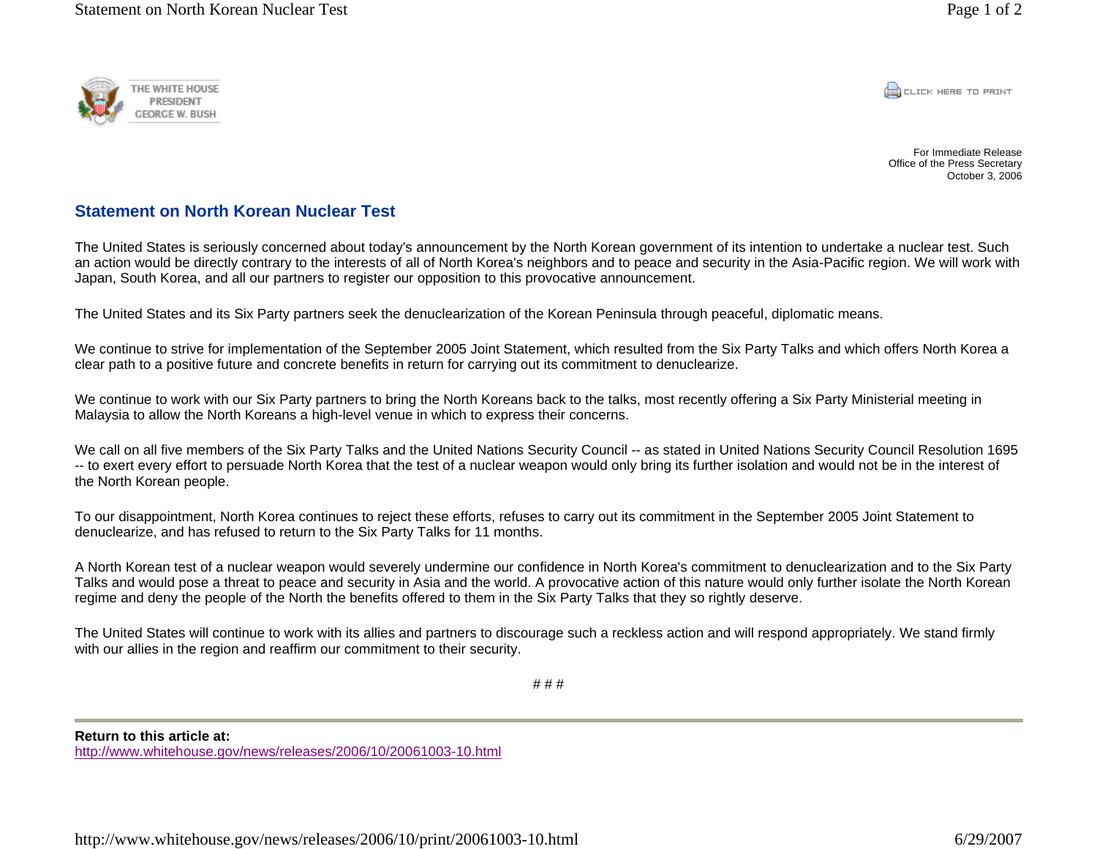**CONCRETE PRINT** 

For Immediate ReleaseOffice of the Press Secretary October 3, 2006

## **Statement on North Korean Nuclear Test**

The United States is seriously concerned about today's announcement by the North Korean government of its intention to undertake a nuclear test. Such an action would be directly contrary to the interests of all of North Korea's neighbors and to peace and security in the Asia-Pacific region. We will work with Japan, South Korea, and all our partners to register our opposition to this provocative announcement.

The United States and its Six Party partners seek the denuclearization of the Korean Peninsula through peaceful, diplomatic means.

We continue to strive for implementation of the September 2005 Joint Statement, which resulted from the Six Party Talks and which offers North Korea a clear path to a positive future and concrete benefits in return for carrying out its commitment to denuclearize.

We continue to work with our Six Party partners to bring the North Koreans back to the talks, most recently offering a Six Party Ministerial meeting in Malaysia to allow the North Koreans a high-level venue in which to express their concerns.

We call on all five members of the Six Party Talks and the United Nations Security Council -- as stated in United Nations Security Council Resolution 1695 -- to exert every effort to persuade North Korea that the test of a nuclear weapon would only bring its further isolation and would not be in the interest of the North Korean people.

To our disappointment, North Korea continues to reject these efforts, refuses to carry out its commitment in the September 2005 Joint Statement to denuclearize, and has refused to return to the Six Party Talks for 11 months.

A North Korean test of a nuclear weapon would severely undermine our confidence in North Korea's commitment to denuclearization and to the Six Party Talks and would pose a threat to peace and security in Asia and the world. A provocative action of this nature would only further isolate the North Korean regime and deny the people of the North the benefits offered to them in the Six Party Talks that they so rightly deserve.

The United States will continue to work with its allies and partners to discourage such a reckless action and will respond appropriately. We stand firmly with our allies in the region and reaffirm our commitment to their security.

# # #

**Return to this article at:**http://www.whitehouse.gov/news/releases/2006/10/20061003-10.html